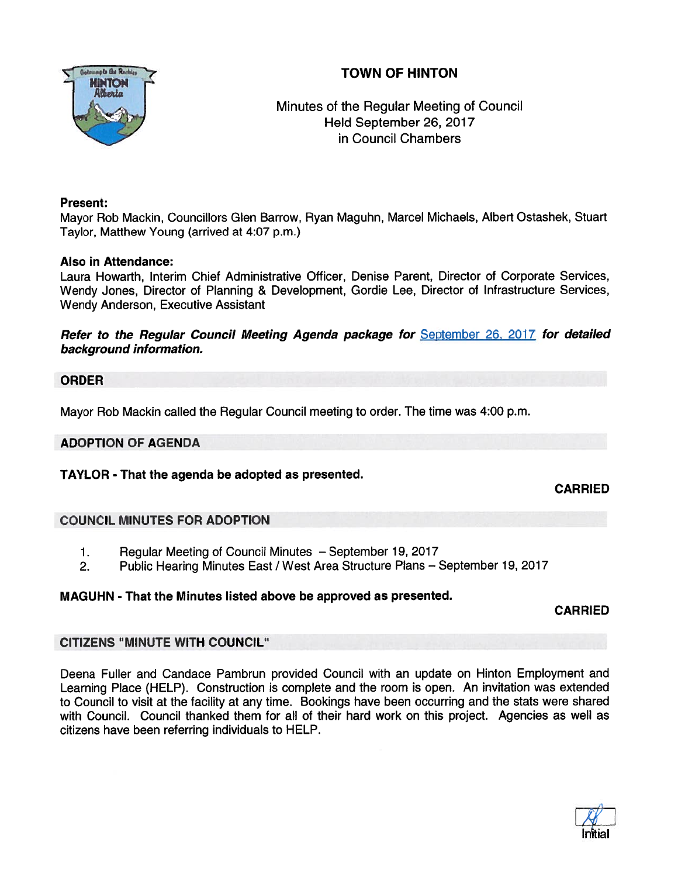# TOWN OF HINTON



## Minutes of the Regular Meeting of Council Held September 26, 2017 in Council Chambers

#### Present:

Mayor Rob Mackin, Councillors Glen Barrow, Ryan Maguhn, Marcel Michaels, Albert Ostashek, Stuart Taylor, Matthew Young (arrived at 4:07 p.m.)

### Also in Attendance:

Laura Howarth, Interim Chief Administrative Officer, Denise Parent, Director of Corporate Services, Wendy Jones, Director of Planning & Development, Gordie Lee, Director of Infrastructure Services, Wendy Anderson, Executive Assistant

Refer to the Regular Council Meeting Agenda package for September 26, 2017 for detailed background information.

#### ORDER

Mayor Rob Mackin called the Regular Council meeting to order. The time was 4:00 p.m.

### ADOPTION OF AGENDA

TAYLOR - That the agenda be adopted as presented.

CARRIED

### COUNCIL MINUTES FOR ADOPTION

- 1. Regular Meeting of Council Minutes September 19, 2017
- 2. Public Hearing Minutes East / West Area Structure Plans September 19, 2017

### MAGUHN - That the Minutes listed above be approved as presented.

CARRIED

### CITIZENS "MINUTE WITH COUNCIL

Deena Fuller and Candace Pambrun provided Council with an update on Hinton Employment and Learning Place (HELP). Construction is complete and the room is open. An invitation was extended to Council to visit at the facility at any time. Bookings have been occurring and the stats were shared with Council. Council thanked them for all of their hard work on this project. Agencies as well as citizens have been referring individuals to HELP.

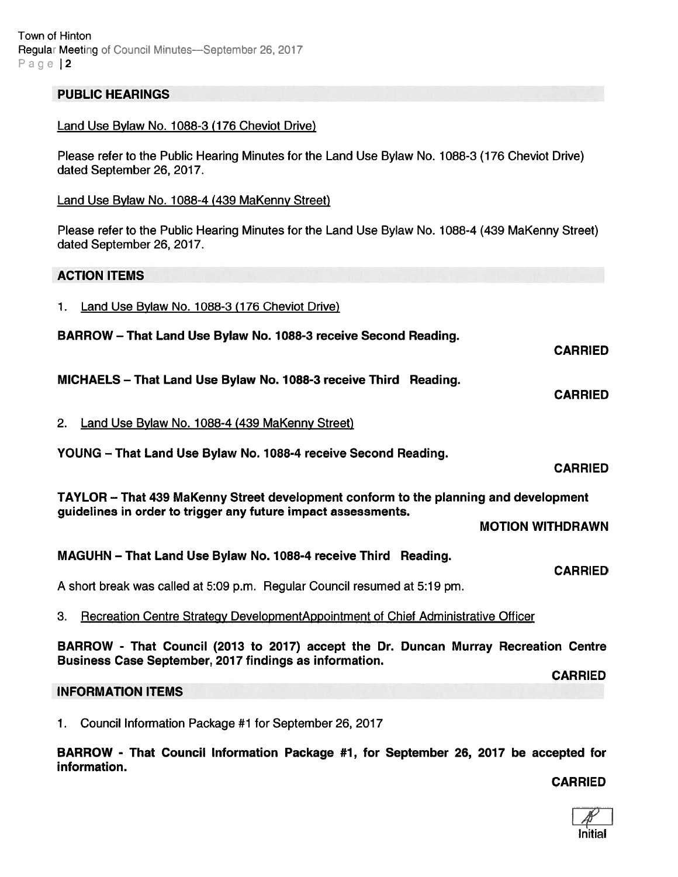#### PUBLIC HEARINGS

#### Land Use Bylaw No. 1088-3 (176 Cheviot Drive)

Please refer to the Public Hearing Minutes for the Land Use Bylaw No. 1088-3 (176 Cheviot Drive) dated September 26, 2017.

#### Land Use Bylaw No. 1088-4 (439 MaKenny Street)

Please refer to the Public Hearing Minutes for the Land Use Bylaw No. 1088-4 (439 MaKenny Street) dated September 26, 2017.

#### ACTION ITEMS

| Land Use Bylaw No. 1088-3 (176 Cheviot Drive) |
|-----------------------------------------------|
|-----------------------------------------------|

| BARROW - That Land Use Bylaw No. 1088-3 receive Second Reading.                                                                                       |                |
|-------------------------------------------------------------------------------------------------------------------------------------------------------|----------------|
|                                                                                                                                                       | <b>CARRIED</b> |
| MICHAELS - That Land Use Bylaw No. 1088-3 receive Third Reading.                                                                                      | <b>CARRIED</b> |
| Land Use Bylaw No. 1088-4 (439 MaKenny Street)<br>2.                                                                                                  |                |
| YOUNG - That Land Use Bylaw No. 1088-4 receive Second Reading.                                                                                        |                |
|                                                                                                                                                       | <b>CARRIED</b> |
| TAYLOR – That 439 MaKenny Street development conform to the planning and development<br>guidelines in order to trigger any future impact assessments. |                |
| <b>MOTION WITHDRAWN</b>                                                                                                                               |                |
| MAGUHN - That Land Use Bylaw No. 1088-4 receive Third Reading.                                                                                        | <b>CARRIED</b> |
| A short break was called at 5:09 p.m. Regular Council resumed at 5:19 pm.                                                                             |                |

3. Recreation Centre Strategy DevelopmentAppointment of Chief Administrative Officer

BARROW - That Council (2013 to 2017) accep<sup>t</sup> the Dr. Duncan Murray Recreation Centre Business Case September, 2017 findings as information.

#### INFORMATION ITEMS

1. Council Information Package #1 for September 26, 2017

BARROW - That Council Information Package #1, for September 26, 2017 be accepted for information.

#### CARRIED

CARRIED